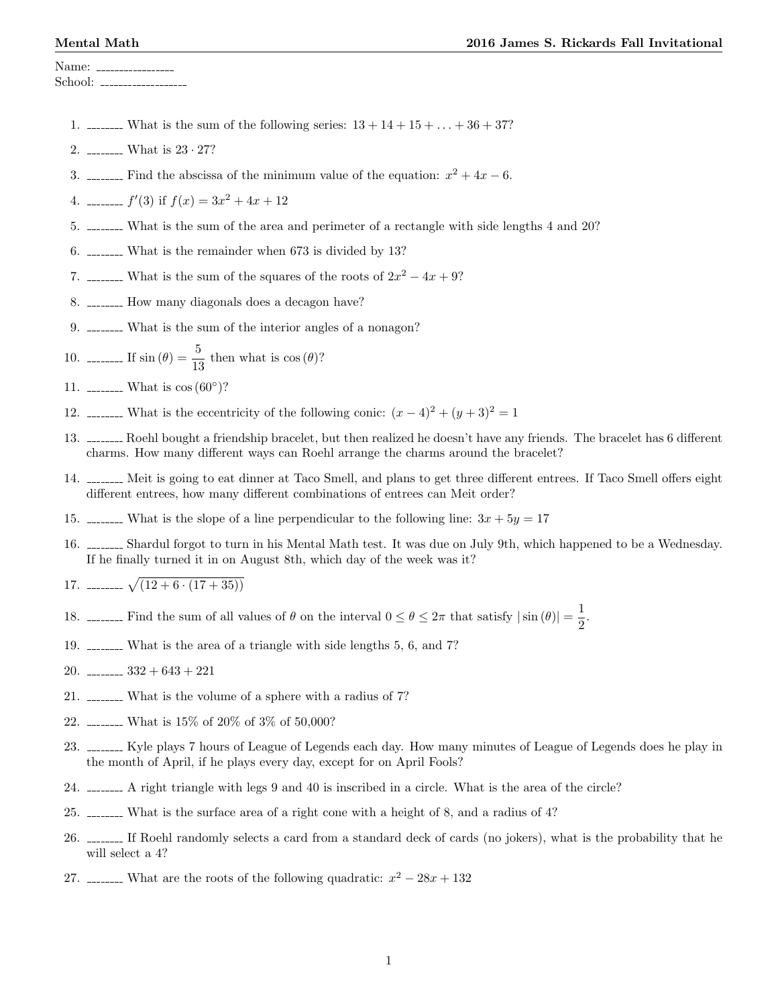Name: School:

- 1. \_\_\_\_\_\_\_ What is the sum of the following series:  $13 + 14 + 15 + ... + 36 + 37$ ?
- 2. What is 23 · 27?
- 3. \_\_\_\_\_\_ Find the abscissa of the minimum value of the equation:  $x^2 + 4x 6$ .
- 4.  $\ldots$   $f'(3)$  if  $f(x) = 3x^2 + 4x + 12$
- 5. What is the sum of the area and perimeter of a rectangle with side lengths 4 and 20?
- 6. What is the remainder when 673 is divided by 13?
- 7. \_\_\_\_\_\_\_ What is the sum of the squares of the roots of  $2x^2 4x + 9$ ?
- 8. \_\_\_\_\_\_\_ How many diagonals does a decagon have?
- 9. What is the sum of the interior angles of a nonagon?
- 10. <u>-------</u> If  $\sin (\theta) = \frac{5}{13}$  then what is  $\cos (\theta)$ ?

- 12. \_\_\_\_\_\_\_ What is the eccentricity of the following conic:  $(x-4)^2 + (y+3)^2 = 1$
- 13. \_\_\_\_\_\_\_ Roehl bought a friendship bracelet, but then realized he doesn't have any friends. The bracelet has 6 different charms. How many different ways can Roehl arrange the charms around the bracelet?
- 14. Meit is going to eat dinner at Taco Smell, and plans to get three different entrees. If Taco Smell offers eight different entrees, how many different combinations of entrees can Meit order?
- 15.  $\ldots$  What is the slope of a line perpendicular to the following line:  $3x + 5y = 17$
- 16. Shardul forgot to turn in his Mental Math test. It was due on July 9th, which happened to be a Wednesday. If he finally turned it in on August 8th, which day of the week was it?
- 17. **produce**  $\sqrt{(12 + 6 \cdot (17 + 35))}$
- 18.  $\frac{1}{2}$  Find the sum of all values of  $\theta$  on the interval  $0 \le \theta \le 2\pi$  that satisfy  $|\sin(\theta)| = \frac{1}{2}$  $\frac{1}{2}$ .
- 19. What is the area of a triangle with side lengths 5, 6, and 7?
- 20.  $\frac{332 + 643 + 221}{6}$
- 21. What is the volume of a sphere with a radius of 7?
- 22. What is 15% of 20% of 3% of 50,000?
- 23. <u>Illust</u> Kyle plays 7 hours of League of Legends each day. How many minutes of League of Legends does he play in the month of April, if he plays every day, except for on April Fools?
- 24. A right triangle with legs 9 and 40 is inscribed in a circle. What is the area of the circle?
- 25. \_\_\_\_\_\_\_ What is the surface area of a right cone with a height of 8, and a radius of 4?
- 26. III Roehl randomly selects a card from a standard deck of cards (no jokers), what is the probability that he will select a 4?
- 27. \_\_\_\_\_\_\_ What are the roots of the following quadratic:  $x^2 28x + 132$

<sup>11.</sup> \_\_\_\_\_\_\_\_ What is  $\cos{(60^{\circ})}$ ?